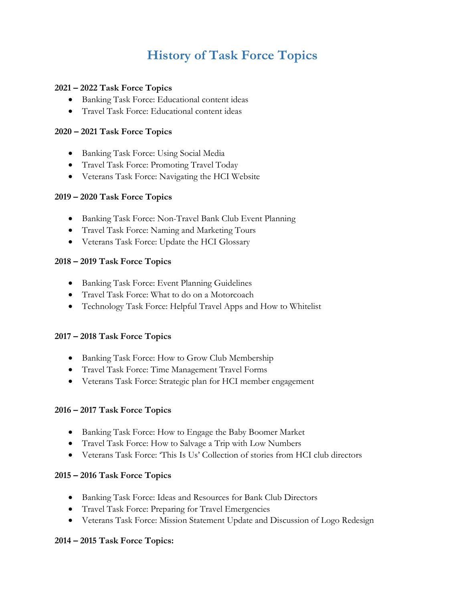# **History of Task Force Topics**

#### **2021 – 2022 Task Force Topics**

- Banking Task Force: Educational content ideas
- Travel Task Force: Educational content ideas

## **2020 – 2021 Task Force Topics**

- Banking Task Force: Using Social Media
- Travel Task Force: Promoting Travel Today
- Veterans Task Force: Navigating the HCI Website

## **2019 – 2020 Task Force Topics**

- Banking Task Force: Non-Travel Bank Club Event Planning
- Travel Task Force: Naming and Marketing Tours
- Veterans Task Force: Update the HCI Glossary

## **2018 – 2019 Task Force Topics**

- Banking Task Force: Event Planning Guidelines
- Travel Task Force: What to do on a Motorcoach
- Technology Task Force: Helpful Travel Apps and How to Whitelist

#### **2017 – 2018 Task Force Topics**

- Banking Task Force: How to Grow Club Membership
- Travel Task Force: Time Management Travel Forms
- Veterans Task Force: Strategic plan for HCI member engagement

#### **2016 – 2017 Task Force Topics**

- Banking Task Force: How to Engage the Baby Boomer Market
- Travel Task Force: How to Salvage a Trip with Low Numbers
- Veterans Task Force: 'This Is Us' Collection of stories from HCI club directors

#### **2015 – 2016 Task Force Topics**

- Banking Task Force: Ideas and Resources for Bank Club Directors
- Travel Task Force: Preparing for Travel Emergencies
- Veterans Task Force: Mission Statement Update and Discussion of Logo Redesign

#### **2014 – 2015 Task Force Topics:**